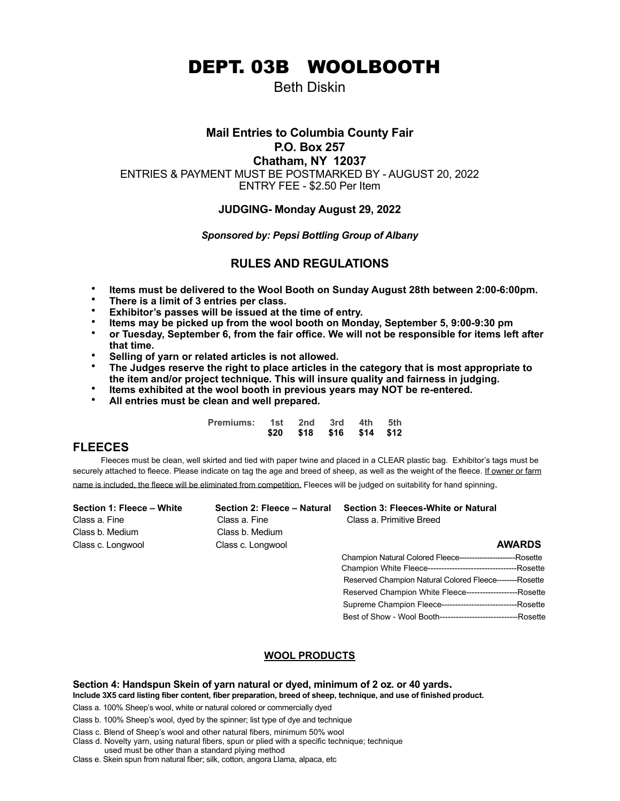DEPT. 03B WOOLBOOTH

Beth Diskin

## **Mail Entries to Columbia County Fair P.O. Box 257**

**Chatham, NY 12037**

ENTRIES & PAYMENT MUST BE POSTMARKED BY - AUGUST 20, 2022

ENTRY FEE - \$2.50 Per Item

# **JUDGING- Monday August 29, 2022**

## *Sponsored by: Pepsi Bottling Group of Albany*

# **RULES AND REGULATIONS**

- **Items must be delivered to the Wool Booth on Sunday August 28th between 2:00-6:00pm.**
- **There is a limit of 3 entries per class.**
- **Exhibitor's passes will be issued at the time of entry.**
- **Items may be picked up from the wool booth on Monday, September 5, 9:00-9:30 pm**
- **or Tuesday, September 6, from the fair office. We will not be responsible for items left after that time.**
- **Selling of yarn or related articles is not allowed.**
- **The Judges reserve the right to place articles in the category that is most appropriate to the item and/or project technique. This will insure quality and fairness in judging.**
- **Items exhibited at the wool booth in previous years may NOT be re-entered.**
- **All entries must be clean and well prepared.**

| Premiums: 1st 2nd 3rd 4th 5th |                          |  |  |
|-------------------------------|--------------------------|--|--|
|                               | \$20 \$18 \$16 \$14 \$12 |  |  |

# **FLEECES**

 Fleeces must be clean, well skirted and tied with paper twine and placed in a CLEAR plastic bag. Exhibitor's tags must be securely attached to fleece. Please indicate on tag the age and breed of sheep, as well as the weight of the fleece. If owner or farm name is included, the fleece will be eliminated from competition. Fleeces will be judged on suitability for hand spinning.

| Section 1: Fleece - White | Section 2: Fleece - Natural | Section 3: Fleeces-White or Natural                            |
|---------------------------|-----------------------------|----------------------------------------------------------------|
| Class a. Fine             | Class a. Fine               | Class a. Primitive Breed                                       |
| Class b. Medium           | Class b. Medium             |                                                                |
| Class c. Longwool         | Class c. Longwool           | <b>AWARDS</b>                                                  |
|                           |                             |                                                                |
|                           |                             |                                                                |
|                           |                             | Reserved Champion Natural Colored Fleece--------Rosette        |
|                           |                             | Reserved Champion White Fleece-------------------------Rosette |

# **WOOL PRODUCTS**

 Supreme Champion Fleece----------------------------Rosette Best of Show - Wool Booth-----------------------------Rosette

Section 4: Handspun Skein of yarn natural or dyed, minimum of 2 oz. or 40 yards.<br>Include 3X5 card listing fiber content, fiber preparation, breed of sheep, technique, and use of finished product.

Class a. 100% Sheep's wool, white or natural colored or commercially dyed

Class b. 100% Sheep's wool, dyed by the spinner; list type of dye and technique

Class c. Blend of Sheep's wool and other natural fibers, minimum 50% wool

Class d. Novelty yarn, using natural fibers, spun or plied with a specific technique; technique used must be other than a standard plying method

Class e. Skein spun from natural fiber; silk, cotton, angora Llama, alpaca, etc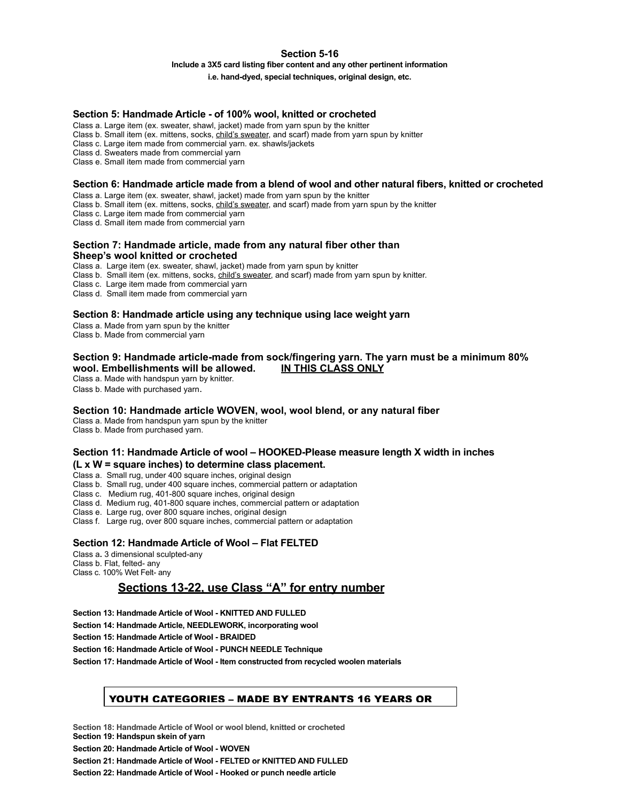# **Section 5-16**

#### **Include a 3X5 card listing fiber content and any other pertinent information**

**i.e. hand-dyed, special techniques, original design, etc.**

#### **Section 5: Handmade Article - of 100% wool, knitted or crocheted**

Class a. Large item (ex. sweater, shawl, jacket) made from yarn spun by the knitter

Class b. Small item (ex. mittens, socks, child's sweater, and scarf) made from yarn spun by knitter

Class c. Large item made from commercial yarn. ex. shawls/jackets

Class d. Sweaters made from commercial yarn

Class e. Small item made from commercial yarn

#### **Section 6: Handmade article made from a blend of wool and other natural fibers, knitted or crocheted**

Class a. Large item (ex. sweater, shawl, jacket) made from yarn spun by the knitter

Class b. Small item (ex. mittens, socks, child's sweater, and scarf) made from yarn spun by the knitter

Class c. Large item made from commercial yarn

Class d. Small item made from commercial yarn

#### **Section 7: Handmade article, made from any natural fiber other than Sheep's wool knitted or crocheted**

Class a. Large item (ex. sweater, shawl, jacket) made from yarn spun by knitter

Class b. Small item (ex. mittens, socks, child's sweater, and scarf) made from yarn spun by knitter.

Class c. Large item made from commercial yarn

Class d. Small item made from commercial yarn

#### **Section 8: Handmade article using any technique using lace weight yarn**

Class a. Made from yarn spun by the knitter Class b. Made from commercial yarn

#### **Section 9: Handmade article-made from sock/fingering yarn. The yarn must be a minimum 80% wool. Embellishments will be allowed. IN THIS CLASS ONLY**

Class a. Made with handspun yarn by knitter.

Class b. Made with purchased yarn.

#### **Section 10: Handmade article WOVEN, wool, wool blend, or any natural fiber**

Class a. Made from handspun yarn spun by the knitter Class b. Made from purchased yarn.

#### **Section 11: Handmade Article of wool – HOOKED-Please measure length X width in inches (L x W = square inches) to determine class placement.**

Class a. Small rug, under 400 square inches, original design

Class b. Small rug, under 400 square inches, commercial pattern or adaptation

Class c. Medium rug, 401-800 square inches, original design

Class d. Medium rug, 401-800 square inches, commercial pattern or adaptation

Class e. Large rug, over 800 square inches, original design

Class f. Large rug, over 800 square inches, commercial pattern or adaptation

## **Section 12: Handmade Article of Wool – Flat FELTED**

Class a**.** 3 dimensional sculpted-any

Class b. Flat, felted- any

Class c. 100% Wet Felt- any

# **Sections 13-22, use Class "A" for entry number**

**Section 13: Handmade Article of Wool - KNITTED AND FULLED**

**Section 14: Handmade Article, NEEDLEWORK, incorporating wool**

**Section 15: Handmade Article of Wool - BRAIDED**

**Section 16: Handmade Article of Wool - PUNCH NEEDLE Technique**

**Section 17: Handmade Article of Wool - Item constructed from recycled woolen materials**

## YOUTH CATEGORIES – MADE BY ENTRANTS 16 YEARS OR

**Section 18: Handmade Article of Wool or wool blend, knitted or crocheted Section 19: Handspun skein of yarn**

**Section 20: Handmade Article of Wool - WOVEN**

**Section 21: Handmade Article of Wool - FELTED or KNITTED AND FULLED**

**Section 22: Handmade Article of Wool - Hooked or punch needle article**